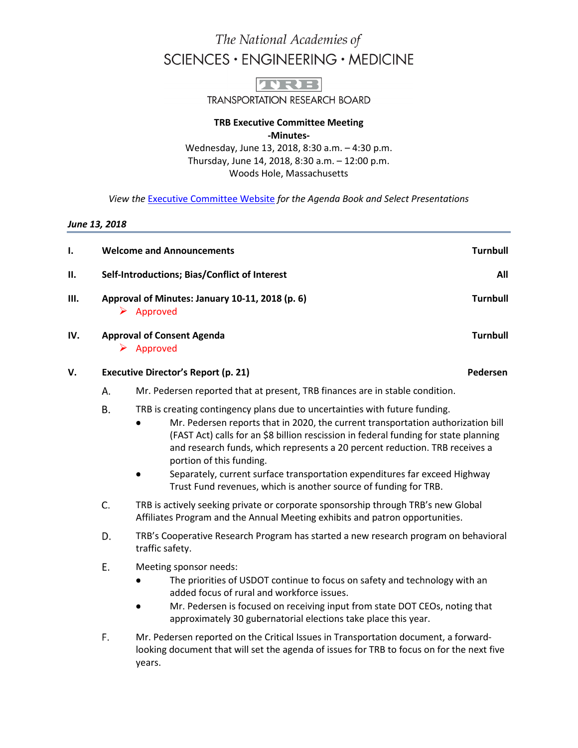# The National Academies of SCIENCES · ENGINEERING · MEDICINE



**TRANSPORTATION RESEARCH BOARD** 

### **TRB Executive Committee Meeting -Minutes-**

Wednesday, June 13, 2018, 8:30 a.m. – 4:30 p.m. Thursday, June 14, 2018, 8:30 a.m. – 12:00 p.m. Woods Hole, Massachusetts

*View the* [Executive Committee Website](http://www.trb.org/Main/TRBExecutiveCommitteeMinutes.aspx) *for the Agenda Book and Select Presentations*

### *June 13, 2018*

| ı.  | <b>Welcome and Announcements</b>                            |                                                                                                                                                                                            |                                                                                                                                                                                                                                                                                                                                                                                                                                                                                                                      | <b>Turnbull</b> |                 |
|-----|-------------------------------------------------------------|--------------------------------------------------------------------------------------------------------------------------------------------------------------------------------------------|----------------------------------------------------------------------------------------------------------------------------------------------------------------------------------------------------------------------------------------------------------------------------------------------------------------------------------------------------------------------------------------------------------------------------------------------------------------------------------------------------------------------|-----------------|-----------------|
| Н.  | Self-Introductions; Bias/Conflict of Interest               |                                                                                                                                                                                            |                                                                                                                                                                                                                                                                                                                                                                                                                                                                                                                      |                 | All             |
| Ш.  | Approval of Minutes: January 10-11, 2018 (p. 6)<br>Approved |                                                                                                                                                                                            |                                                                                                                                                                                                                                                                                                                                                                                                                                                                                                                      | <b>Turnbull</b> |                 |
| IV. |                                                             | <b>Approval of Consent Agenda</b><br>$\triangleright$ Approved                                                                                                                             |                                                                                                                                                                                                                                                                                                                                                                                                                                                                                                                      |                 | <b>Turnbull</b> |
| V.  |                                                             | <b>Executive Director's Report (p. 21)</b><br>Pedersen                                                                                                                                     |                                                                                                                                                                                                                                                                                                                                                                                                                                                                                                                      |                 |                 |
|     | Α.                                                          | Mr. Pedersen reported that at present, TRB finances are in stable condition.                                                                                                               |                                                                                                                                                                                                                                                                                                                                                                                                                                                                                                                      |                 |                 |
|     | <b>B.</b>                                                   |                                                                                                                                                                                            | TRB is creating contingency plans due to uncertainties with future funding.<br>Mr. Pedersen reports that in 2020, the current transportation authorization bill<br>(FAST Act) calls for an \$8 billion rescission in federal funding for state planning<br>and research funds, which represents a 20 percent reduction. TRB receives a<br>portion of this funding.<br>Separately, current surface transportation expenditures far exceed Highway<br>Trust Fund revenues, which is another source of funding for TRB. |                 |                 |
|     | C.                                                          | TRB is actively seeking private or corporate sponsorship through TRB's new Global<br>Affiliates Program and the Annual Meeting exhibits and patron opportunities.                          |                                                                                                                                                                                                                                                                                                                                                                                                                                                                                                                      |                 |                 |
|     | D.                                                          | TRB's Cooperative Research Program has started a new research program on behavioral<br>traffic safety.                                                                                     |                                                                                                                                                                                                                                                                                                                                                                                                                                                                                                                      |                 |                 |
|     | E.                                                          |                                                                                                                                                                                            | Meeting sponsor needs:<br>The priorities of USDOT continue to focus on safety and technology with an<br>added focus of rural and workforce issues.<br>Mr. Pedersen is focused on receiving input from state DOT CEOs, noting that<br>approximately 30 gubernatorial elections take place this year.                                                                                                                                                                                                                  |                 |                 |
|     | F.                                                          | Mr. Pedersen reported on the Critical Issues in Transportation document, a forward-<br>looking document that will set the agenda of issues for TRB to focus on for the next five<br>years. |                                                                                                                                                                                                                                                                                                                                                                                                                                                                                                                      |                 |                 |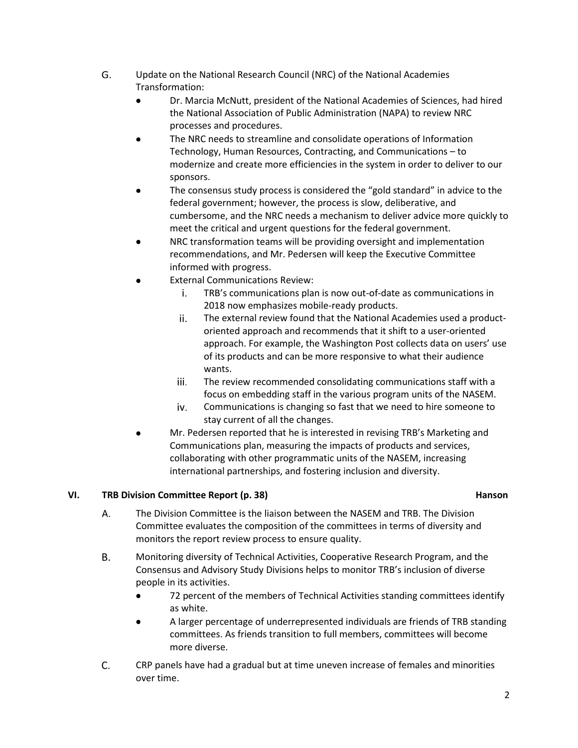- G. Update on the National Research Council (NRC) of the National Academies Transformation:
	- Dr. Marcia McNutt, president of the National Academies of Sciences, had hired the National Association of Public Administration (NAPA) to review NRC processes and procedures.
	- The NRC needs to streamline and consolidate operations of Information Technology, Human Resources, Contracting, and Communications – to modernize and create more efficiencies in the system in order to deliver to our sponsors.
	- The consensus study process is considered the "gold standard" in advice to the federal government; however, the process is slow, deliberative, and cumbersome, and the NRC needs a mechanism to deliver advice more quickly to meet the critical and urgent questions for the federal government.
	- NRC transformation teams will be providing oversight and implementation recommendations, and Mr. Pedersen will keep the Executive Committee informed with progress.
	- External Communications Review:
		- i. TRB's communications plan is now out-of-date as communications in 2018 now emphasizes mobile-ready products.
		- ii. The external review found that the National Academies used a productoriented approach and recommends that it shift to a user-oriented approach. For example, the Washington Post collects data on users' use of its products and can be more responsive to what their audience wants.
		- iii. The review recommended consolidating communications staff with a focus on embedding staff in the various program units of the NASEM.
		- Communications is changing so fast that we need to hire someone to iv. stay current of all the changes.
	- Mr. Pedersen reported that he is interested in revising TRB's Marketing and Communications plan, measuring the impacts of products and services, collaborating with other programmatic units of the NASEM, increasing international partnerships, and fostering inclusion and diversity.

## **VI. TRB Division Committee Report (p. 38) Hanson**

- The Division Committee is the liaison between the NASEM and TRB. The Division A. Committee evaluates the composition of the committees in terms of diversity and monitors the report review process to ensure quality.
- **B.** Monitoring diversity of Technical Activities, Cooperative Research Program, and the Consensus and Advisory Study Divisions helps to monitor TRB's inclusion of diverse people in its activities.
	- $\bullet$ 72 percent of the members of Technical Activities standing committees identify as white.
	- A larger percentage of underrepresented individuals are friends of TRB standing committees. As friends transition to full members, committees will become more diverse.
- C. CRP panels have had a gradual but at time uneven increase of females and minorities over time.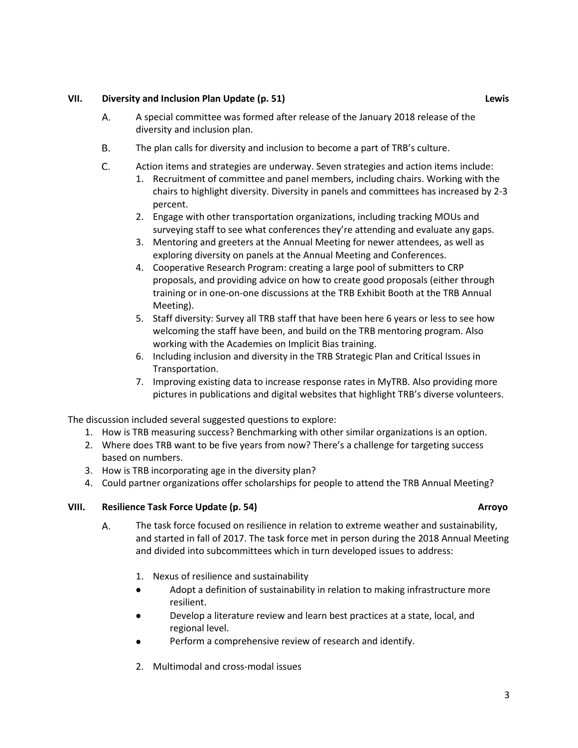### **VII. Diversity and Inclusion Plan Update (p. 51) Lewis**

- Α. A special committee was formed after release of the January 2018 release of the diversity and inclusion plan.
- **B.** The plan calls for diversity and inclusion to become a part of TRB's culture.
- C. Action items and strategies are underway. Seven strategies and action items include:
	- 1. Recruitment of committee and panel members, including chairs. Working with the chairs to highlight diversity. Diversity in panels and committees has increased by 2-3 percent.
	- 2. Engage with other transportation organizations, including tracking MOUs and surveying staff to see what conferences they're attending and evaluate any gaps.
	- 3. Mentoring and greeters at the Annual Meeting for newer attendees, as well as exploring diversity on panels at the Annual Meeting and Conferences.
	- 4. Cooperative Research Program: creating a large pool of submitters to CRP proposals, and providing advice on how to create good proposals (either through training or in one-on-one discussions at the TRB Exhibit Booth at the TRB Annual Meeting).
	- 5. Staff diversity: Survey all TRB staff that have been here 6 years or less to see how welcoming the staff have been, and build on the TRB mentoring program. Also working with the Academies on Implicit Bias training.
	- 6. Including inclusion and diversity in the TRB Strategic Plan and Critical Issues in Transportation.
	- 7. Improving existing data to increase response rates in MyTRB. Also providing more pictures in publications and digital websites that highlight TRB's diverse volunteers.

The discussion included several suggested questions to explore:

- 1. How is TRB measuring success? Benchmarking with other similar organizations is an option.
- 2. Where does TRB want to be five years from now? There's a challenge for targeting success based on numbers.
- 3. How is TRB incorporating age in the diversity plan?
- 4. Could partner organizations offer scholarships for people to attend the TRB Annual Meeting?

### **VIII. Resilience Task Force Update (p. 54) Arroyo**

- The task force focused on resilience in relation to extreme weather and sustainability, Α. and started in fall of 2017. The task force met in person during the 2018 Annual Meeting and divided into subcommittees which in turn developed issues to address:
	- 1. Nexus of resilience and sustainability
	- Adopt a definition of sustainability in relation to making infrastructure more resilient.
	- Develop a literature review and learn best practices at a state, local, and regional level.
	- Perform a comprehensive review of research and identify.
	- 2. Multimodal and cross-modal issues

3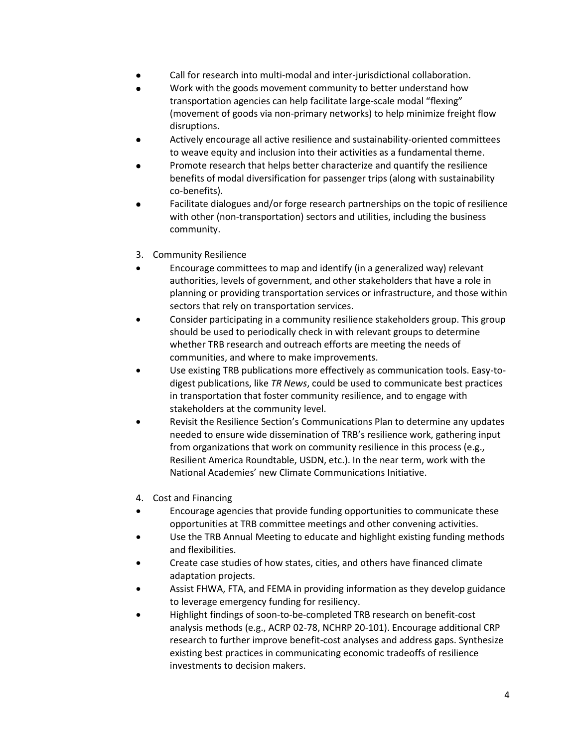- Call for research into multi-modal and inter-jurisdictional collaboration.
- Work with the goods movement community to better understand how transportation agencies can help facilitate large-scale modal "flexing" (movement of goods via non-primary networks) to help minimize freight flow disruptions.
- Actively encourage all active resilience and sustainability-oriented committees to weave equity and inclusion into their activities as a fundamental theme.
- Promote research that helps better characterize and quantify the resilience benefits of modal diversification for passenger trips (along with sustainability co-benefits).
- Facilitate dialogues and/or forge research partnerships on the topic of resilience with other (non-transportation) sectors and utilities, including the business community.
- 3. Community Resilience
- Encourage committees to map and identify (in a generalized way) relevant authorities, levels of government, and other stakeholders that have a role in planning or providing transportation services or infrastructure, and those within sectors that rely on transportation services.
- Consider participating in a community resilience stakeholders group. This group should be used to periodically check in with relevant groups to determine whether TRB research and outreach efforts are meeting the needs of communities, and where to make improvements.
- Use existing TRB publications more effectively as communication tools. Easy-todigest publications, like *TR News*, could be used to communicate best practices in transportation that foster community resilience, and to engage with stakeholders at the community level.
- Revisit the Resilience Section's Communications Plan to determine any updates needed to ensure wide dissemination of TRB's resilience work, gathering input from organizations that work on community resilience in this process (e.g., Resilient America Roundtable, USDN, etc.). In the near term, work with the National Academies' new Climate Communications Initiative.
- 4. Cost and Financing
- Encourage agencies that provide funding opportunities to communicate these opportunities at TRB committee meetings and other convening activities.
- Use the TRB Annual Meeting to educate and highlight existing funding methods and flexibilities.
- Create case studies of how states, cities, and others have financed climate adaptation projects.
- Assist FHWA, FTA, and FEMA in providing information as they develop guidance to leverage emergency funding for resiliency.
- Highlight findings of soon-to-be-completed TRB research on benefit-cost analysis methods (e.g., ACRP 02-78, NCHRP 20-101). Encourage additional CRP research to further improve benefit-cost analyses and address gaps. Synthesize existing best practices in communicating economic tradeoffs of resilience investments to decision makers.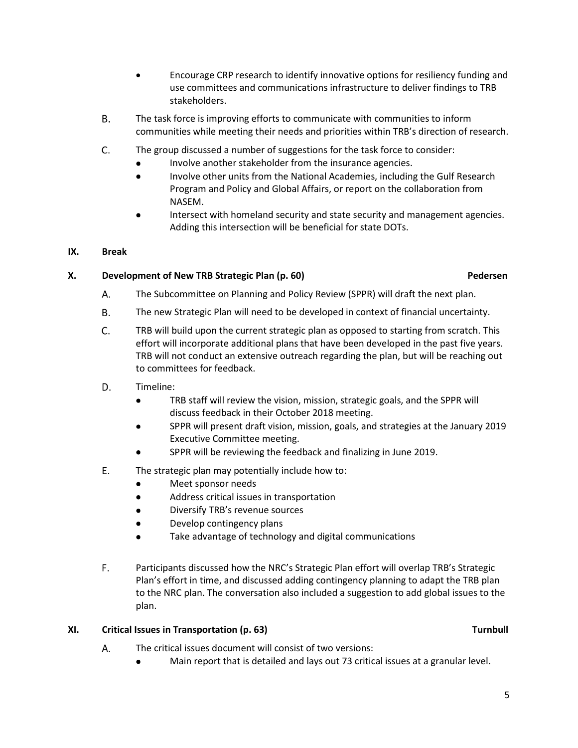- Encourage CRP research to identify innovative options for resiliency funding and use committees and communications infrastructure to deliver findings to TRB stakeholders.
- **B.** The task force is improving efforts to communicate with communities to inform communities while meeting their needs and priorities within TRB's direction of research.
- $C_{\cdot}$ The group discussed a number of suggestions for the task force to consider:
	- Involve another stakeholder from the insurance agencies.
	- Involve other units from the National Academies, including the Gulf Research  $\bullet$ Program and Policy and Global Affairs, or report on the collaboration from NASEM.
	- Intersect with homeland security and state security and management agencies. Adding this intersection will be beneficial for state DOTs.

## **IX. Break**

## **X. Development of New TRB Strategic Plan (p. 60) Pedersen Pedersen**

- Α. The Subcommittee on Planning and Policy Review (SPPR) will draft the next plan.
- В. The new Strategic Plan will need to be developed in context of financial uncertainty.
- C. TRB will build upon the current strategic plan as opposed to starting from scratch. This effort will incorporate additional plans that have been developed in the past five years. TRB will not conduct an extensive outreach regarding the plan, but will be reaching out to committees for feedback.
- D. Timeline:
	- TRB staff will review the vision, mission, strategic goals, and the SPPR will  $\bullet$ discuss feedback in their October 2018 meeting.
	- SPPR will present draft vision, mission, goals, and strategies at the January 2019 Executive Committee meeting.
	- SPPR will be reviewing the feedback and finalizing in June 2019.
- E. The strategic plan may potentially include how to:
	- Meet sponsor needs
	- $\bullet$ Address critical issues in transportation
	- Diversify TRB's revenue sources
	- Develop contingency plans
	- Take advantage of technology and digital communications
- $F_{\rm{H}}$ Participants discussed how the NRC's Strategic Plan effort will overlap TRB's Strategic Plan's effort in time, and discussed adding contingency planning to adapt the TRB plan to the NRC plan. The conversation also included a suggestion to add global issues to the plan.

### **XI. Critical Issues in Transportation (p. 63)** Turnbull **Turnbull Turnbull**

- A. The critical issues document will consist of two versions:
	- Main report that is detailed and lays out 73 critical issues at a granular level.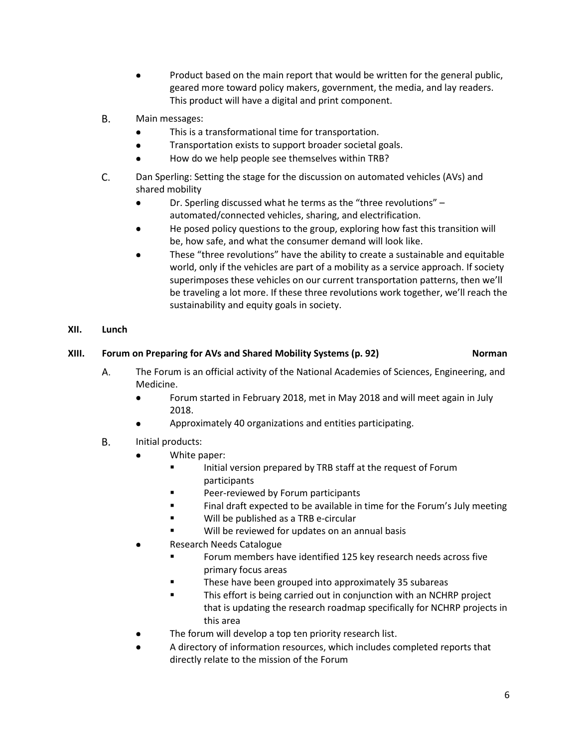- Product based on the main report that would be written for the general public, geared more toward policy makers, government, the media, and lay readers. This product will have a digital and print component.
- **B.** Main messages:
	- This is a transformational time for transportation.
	- $\bullet$ Transportation exists to support broader societal goals.
	- How do we help people see themselves within TRB?
- C. Dan Sperling: Setting the stage for the discussion on automated vehicles (AVs) and shared mobility
	- $\bullet$ Dr. Sperling discussed what he terms as the "three revolutions" – automated/connected vehicles, sharing, and electrification.
	- He posed policy questions to the group, exploring how fast this transition will be, how safe, and what the consumer demand will look like.
	- These "three revolutions" have the ability to create a sustainable and equitable world, only if the vehicles are part of a mobility as a service approach. If society superimposes these vehicles on our current transportation patterns, then we'll be traveling a lot more. If these three revolutions work together, we'll reach the sustainability and equity goals in society.

## **XII. Lunch**

## **XIII. Forum on Preparing for AVs and Shared Mobility Systems (p. 92) Norman**

- A. The Forum is an official activity of the National Academies of Sciences, Engineering, and Medicine.
	- Forum started in February 2018, met in May 2018 and will meet again in July  $\bullet$ 2018.
	- Approximately 40 organizations and entities participating.
- **B.** Initial products:
	- White paper:
		- Initial version prepared by TRB staff at the request of Forum participants
		- Peer-reviewed by Forum participants
		- Final draft expected to be available in time for the Forum's July meeting
		- Will be published as a TRB e-circular
		- Will be reviewed for updates on an annual basis
	- Research Needs Catalogue
		- **FICH** Forum members have identified 125 key research needs across five primary focus areas
		- These have been grouped into approximately 35 subareas
		- This effort is being carried out in conjunction with an NCHRP project that is updating the research roadmap specifically for NCHRP projects in this area
	- The forum will develop a top ten priority research list.
	- A directory of information resources, which includes completed reports that directly relate to the mission of the Forum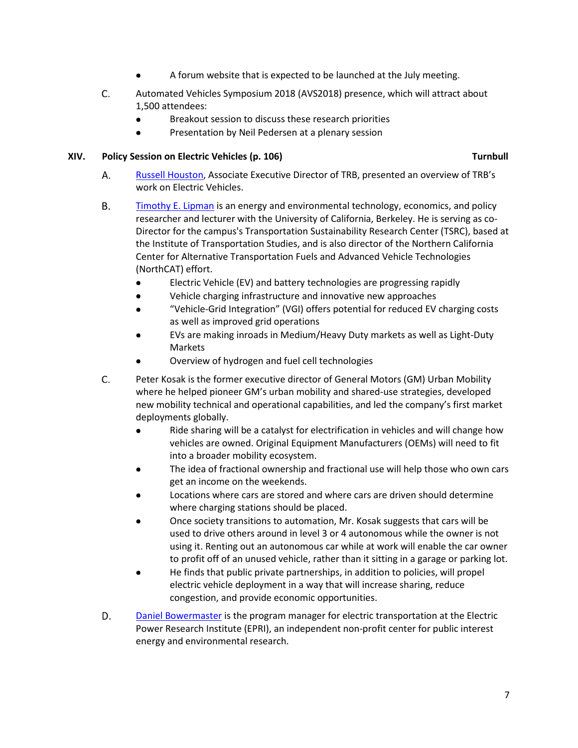- A forum website that is expected to be launched at the July meeting.
- C. Automated Vehicles Symposium 2018 (AVS2018) presence, which will attract about 1,500 attendees:
	- $\bullet$ Breakout session to discuss these research priorities
	- Presentation by Neil Pedersen at a plenary session  $\bullet$

### **XIV. Policy Session on Electric Vehicles (p. 106) Turnbull**

- Α. [Russell Houston,](http://onlinepubs.trb.org/onlinepubs/excomm/18-06-Houston.pdf) Associate Executive Director of TRB, presented an overview of TRB's work on Electric Vehicles.
- **B.** [Timothy E. Lipman](http://onlinepubs.trb.org/onlinepubs/excomm/18-06-Lipman.pdf) is an energy and environmental technology, economics, and policy researcher and lecturer with the University of California, Berkeley. He is serving as co-Director for the campus's Transportation Sustainability Research Center (TSRC), based at the Institute of Transportation Studies, and is also director of the Northern California Center for Alternative Transportation Fuels and Advanced Vehicle Technologies (NorthCAT) effort.
	- Electric Vehicle (EV) and battery technologies are progressing rapidly
	- Vehicle charging infrastructure and innovative new approaches
	- "Vehicle-Grid Integration" (VGI) offers potential for reduced EV charging costs as well as improved grid operations
	- EVs are making inroads in Medium/Heavy Duty markets as well as Light-Duty Markets
	- Overview of hydrogen and fuel cell technologies
- $C_{\cdot}$ Peter Kosak is the former executive director of General Motors (GM) Urban Mobility where he helped pioneer GM's urban mobility and shared-use strategies, developed new mobility technical and operational capabilities, and led the company's first market deployments globally.
	- Ride sharing will be a catalyst for electrification in vehicles and will change how vehicles are owned. Original Equipment Manufacturers (OEMs) will need to fit into a broader mobility ecosystem.
	- The idea of fractional ownership and fractional use will help those who own cars get an income on the weekends.
	- Locations where cars are stored and where cars are driven should determine where charging stations should be placed.
	- Once society transitions to automation, Mr. Kosak suggests that cars will be used to drive others around in level 3 or 4 autonomous while the owner is not using it. Renting out an autonomous car while at work will enable the car owner to profit off of an unused vehicle, rather than it sitting in a garage or parking lot.
	- He finds that public private partnerships, in addition to policies, will propel electric vehicle deployment in a way that will increase sharing, reduce congestion, and provide economic opportunities.
- D. [Daniel Bowermaster](http://onlinepubs.trb.org/onlinepubs/excomm/18-06-Bowermaster.pdf) is the program manager for electric transportation at the Electric Power Research Institute (EPRI), an independent non-profit center for public interest energy and environmental research.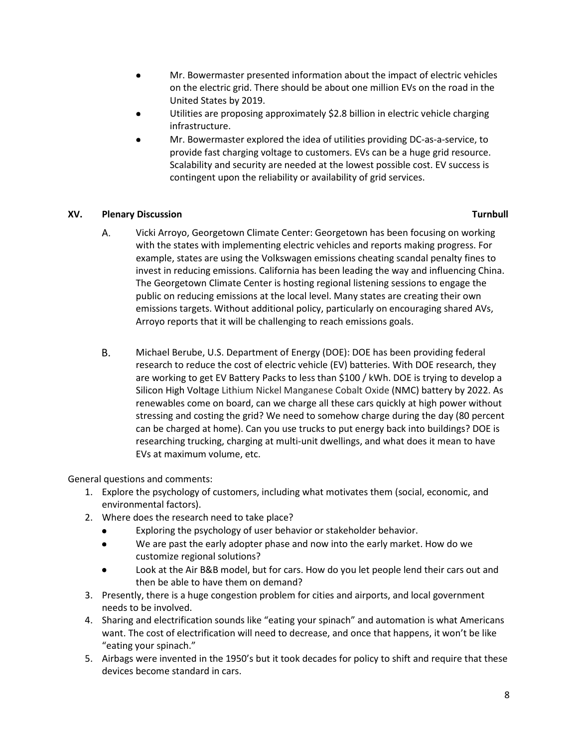- Mr. Bowermaster presented information about the impact of electric vehicles on the electric grid. There should be about one million EVs on the road in the United States by 2019.
- Utilities are proposing approximately \$2.8 billion in electric vehicle charging infrastructure.
- Mr. Bowermaster explored the idea of utilities providing DC-as-a-service, to provide fast charging voltage to customers. EVs can be a huge grid resource. Scalability and security are needed at the lowest possible cost. EV success is contingent upon the reliability or availability of grid services.

### **XV. Plenary Discussion Turnbull**

- А. Vicki Arroyo, Georgetown Climate Center: Georgetown has been focusing on working with the states with implementing electric vehicles and reports making progress. For example, states are using the Volkswagen emissions cheating scandal penalty fines to invest in reducing emissions. California has been leading the way and influencing China. The Georgetown Climate Center is hosting regional listening sessions to engage the public on reducing emissions at the local level. Many states are creating their own emissions targets. Without additional policy, particularly on encouraging shared AVs, Arroyo reports that it will be challenging to reach emissions goals.
- **B.** Michael Berube, U.S. Department of Energy (DOE): DOE has been providing federal research to reduce the cost of electric vehicle (EV) batteries. With DOE research, they are working to get EV Battery Packs to less than \$100 / kWh. DOE is trying to develop a Silicon High Voltage Lithium Nickel Manganese Cobalt Oxide (NMC) battery by 2022. As renewables come on board, can we charge all these cars quickly at high power without stressing and costing the grid? We need to somehow charge during the day (80 percent can be charged at home). Can you use trucks to put energy back into buildings? DOE is researching trucking, charging at multi-unit dwellings, and what does it mean to have EVs at maximum volume, etc.

General questions and comments:

- 1. Explore the psychology of customers, including what motivates them (social, economic, and environmental factors).
- 2. Where does the research need to take place?
	- Exploring the psychology of user behavior or stakeholder behavior.
	- $\bullet$ We are past the early adopter phase and now into the early market. How do we customize regional solutions?
	- Look at the Air B&B model, but for cars. How do you let people lend their cars out and then be able to have them on demand?
- 3. Presently, there is a huge congestion problem for cities and airports, and local government needs to be involved.
- 4. Sharing and electrification sounds like "eating your spinach" and automation is what Americans want. The cost of electrification will need to decrease, and once that happens, it won't be like "eating your spinach."
- 5. Airbags were invented in the 1950's but it took decades for policy to shift and require that these devices become standard in cars.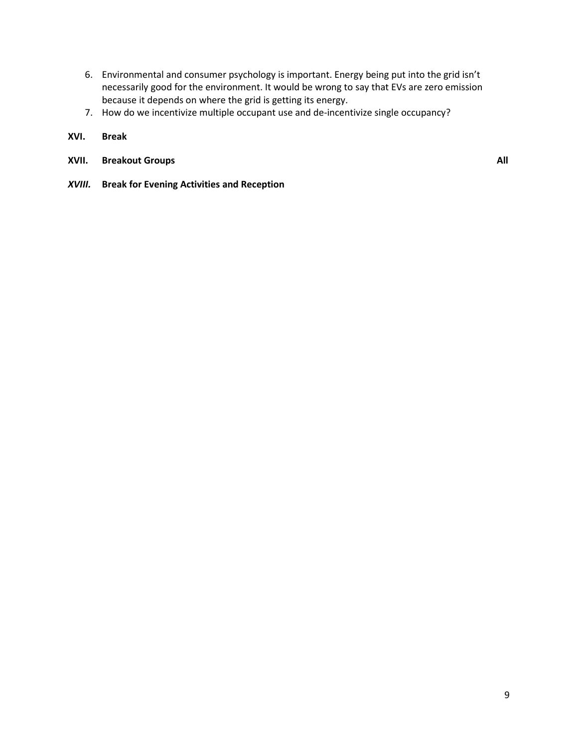- 6. Environmental and consumer psychology is important. Energy being put into the grid isn't necessarily good for the environment. It would be wrong to say that EVs are zero emission because it depends on where the grid is getting its energy.
- 7. How do we incentivize multiple occupant use and de-incentivize single occupancy?
- **XVI. Break**
- **XVII.** Breakout Groups **All All All All All All**

*XVIII.* **Break for Evening Activities and Reception**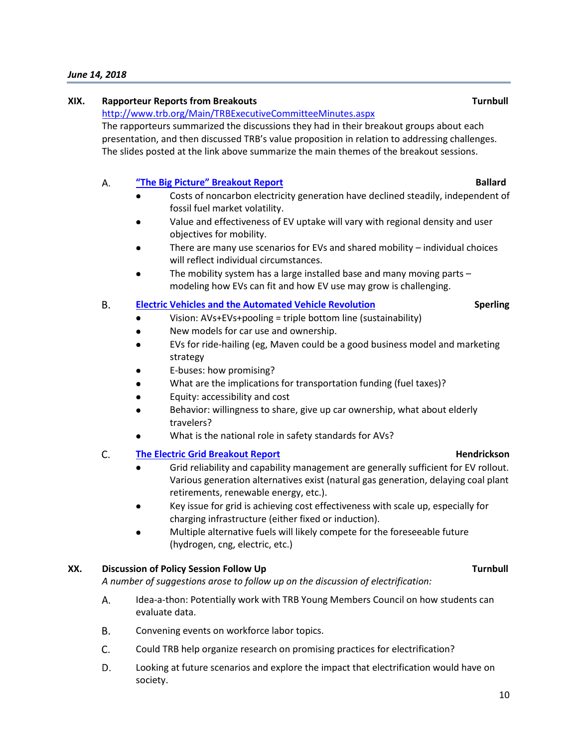### *June 14, 2018*

### **XIX. Rapporteur Reports from Breakouts Turnbull**

<http://www.trb.org/Main/TRBExecutiveCommitteeMinutes.aspx>

The rapporteurs summarized the discussions they had in their breakout groups about each presentation, and then discussed TRB's value proposition in relation to addressing challenges. The slides posted at the link above summarize the main themes of the breakout sessions.

### А. **["The Big Picture" Breakout Report](http://onlinepubs.trb.org/onlinepubs/ExComm/18-06-Ballard.pdf) Ballard**

- Costs of noncarbon electricity generation have declined steadily, independent of fossil fuel market volatility.
- Value and effectiveness of EV uptake will vary with regional density and user objectives for mobility.
- There are many use scenarios for EVs and shared mobility individual choices will reflect individual circumstances.
- The mobility system has a large installed base and many moving parts modeling how EVs can fit and how EV use may grow is challenging.

### **B. [Electric Vehicles and the Automated Vehicle Revolution](http://onlinepubs.trb.org/onlinepubs/ExComm/18-06-Sperling.pdf) Sperling**

- Vision: AVs+EVs+pooling = triple bottom line (sustainability)
- New models for car use and ownership.
- EVs for ride-hailing (eg, Maven could be a good business model and marketing strategy
- E-buses: how promising?
- What are the implications for transportation funding (fuel taxes)?
- Equity: accessibility and cost
- Behavior: willingness to share, give up car ownership, what about elderly travelers?
- What is the national role in safety standards for AVs?

### C. **[The Electric Grid Breakout Report](http://onlinepubs.trb.org/onlinepubs/ExComm/18-06-Hendrickson.pdf) All and Structure Control Control Area Hendrickson**

- Grid reliability and capability management are generally sufficient for EV rollout. Various generation alternatives exist (natural gas generation, delaying coal plant retirements, renewable energy, etc.).
- Key issue for grid is achieving cost effectiveness with scale up, especially for charging infrastructure (either fixed or induction).
- Multiple alternative fuels will likely compete for the foreseeable future (hydrogen, cng, electric, etc.)

### **XX. Discussion of Policy Session Follow Up Turnbull**

*A number of suggestions arose to follow up on the discussion of electrification:* 

- A. Idea-a-thon: Potentially work with TRB Young Members Council on how students can evaluate data.
- **B.** Convening events on workforce labor topics.
- C. Could TRB help organize research on promising practices for electrification?
- D. Looking at future scenarios and explore the impact that electrification would have on society.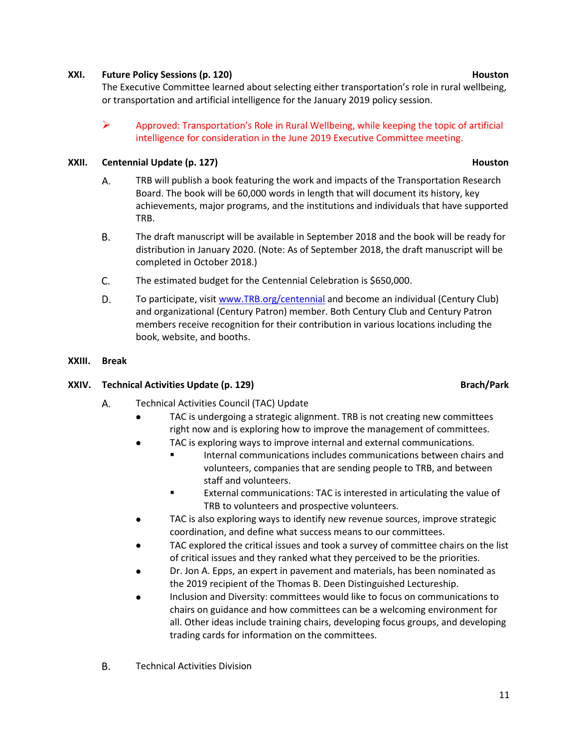### **XXI. Future Policy Sessions (p. 120) Houston Houston**

The Executive Committee learned about selecting either transportation's role in rural wellbeing, or transportation and artificial intelligence for the January 2019 policy session.

 $\triangleright$  Approved: Transportation's Role in Rural Wellbeing, while keeping the topic of artificial intelligence for consideration in the June 2019 Executive Committee meeting.

## **XXII.** Centennial Update (p. 127) **Houston**

- Α. TRB will publish a book featuring the work and impacts of the Transportation Research Board. The book will be 60,000 words in length that will document its history, key achievements, major programs, and the institutions and individuals that have supported TRB.
- В. The draft manuscript will be available in September 2018 and the book will be ready for distribution in January 2020. (Note: As of September 2018, the draft manuscript will be completed in October 2018.)
- C. The estimated budget for the Centennial Celebration is \$650,000.
- D. To participate, visit [www.TRB.org/centennial](http://www.trb.org/centennial) and become an individual (Century Club) and organizational (Century Patron) member. Both Century Club and Century Patron members receive recognition for their contribution in various locations including the book, website, and booths.
- **XXIII. Break**

## **XXIV. Technical Activities Update (p. 129) Brach/Park**

- Α. Technical Activities Council (TAC) Update
	- $\bullet$ TAC is undergoing a strategic alignment. TRB is not creating new committees right now and is exploring how to improve the management of committees.
	- TAC is exploring ways to improve internal and external communications.
		- **Internal communications includes communications between chairs and** volunteers, companies that are sending people to TRB, and between staff and volunteers.
			- External communications: TAC is interested in articulating the value of TRB to volunteers and prospective volunteers.
	- TAC is also exploring ways to identify new revenue sources, improve strategic coordination, and define what success means to our committees.
	- TAC explored the critical issues and took a survey of committee chairs on the list of critical issues and they ranked what they perceived to be the priorities.
	- Dr. Jon A. Epps, an expert in pavement and materials, has been nominated as the 2019 recipient of the Thomas B. Deen Distinguished Lectureship.
	- Inclusion and Diversity: committees would like to focus on communications to chairs on guidance and how committees can be a welcoming environment for all. Other ideas include training chairs, developing focus groups, and developing trading cards for information on the committees.
- **B.** Technical Activities Division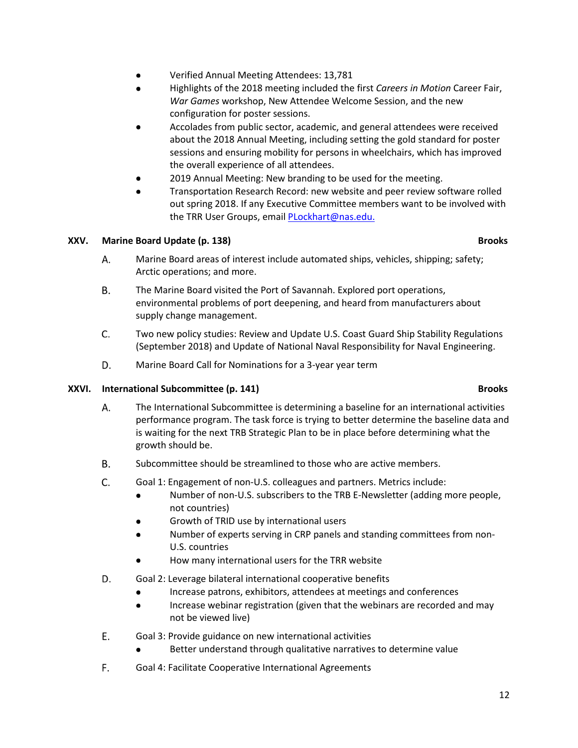- Verified Annual Meeting Attendees: 13,781
- Highlights of the 2018 meeting included the first *Careers in Motion* Career Fair, *War Games* workshop, New Attendee Welcome Session, and the new configuration for poster sessions.
- Accolades from public sector, academic, and general attendees were received about the 2018 Annual Meeting, including setting the gold standard for poster sessions and ensuring mobility for persons in wheelchairs, which has improved the overall experience of all attendees.
- 2019 Annual Meeting: New branding to be used for the meeting.
- Transportation Research Record: new website and peer review software rolled out spring 2018. If any Executive Committee members want to be involved with the TRR User Groups, email [PLockhart@nas.edu.](mailto:PLockhart@nas.edu)

## **XXV.** Marine Board Update (p. 138) Brooks and the example of the example of the example of the example of the example of the example of the example of the example of the example of the example of the example of the exampl

- Α. Marine Board areas of interest include automated ships, vehicles, shipping; safety; Arctic operations; and more.
- **B.** The Marine Board visited the Port of Savannah. Explored port operations, environmental problems of port deepening, and heard from manufacturers about supply change management.
- C. Two new policy studies: Review and Update U.S. Coast Guard Ship Stability Regulations (September 2018) and Update of National Naval Responsibility for Naval Engineering.
- D. Marine Board Call for Nominations for a 3-year year term

### **XXVI.** International Subcommittee (p. 141) **Brooks Brooks**

- А. The International Subcommittee is determining a baseline for an international activities performance program. The task force is trying to better determine the baseline data and is waiting for the next TRB Strategic Plan to be in place before determining what the growth should be.
- **B.** Subcommittee should be streamlined to those who are active members.
- $C_{1}$ Goal 1: Engagement of non-U.S. colleagues and partners. Metrics include:
	- Number of non-U.S. subscribers to the TRB E-Newsletter (adding more people,  $\bullet$ not countries)
	- Growth of TRID use by international users
	- Number of experts serving in CRP panels and standing committees from non-U.S. countries
	- How many international users for the TRR website
- D. Goal 2: Leverage bilateral international cooperative benefits
	- Increase patrons, exhibitors, attendees at meetings and conferences
	- $\bullet$ Increase webinar registration (given that the webinars are recorded and may not be viewed live)
- E. Goal 3: Provide guidance on new international activities
	- Better understand through qualitative narratives to determine value
- F. Goal 4: Facilitate Cooperative International Agreements